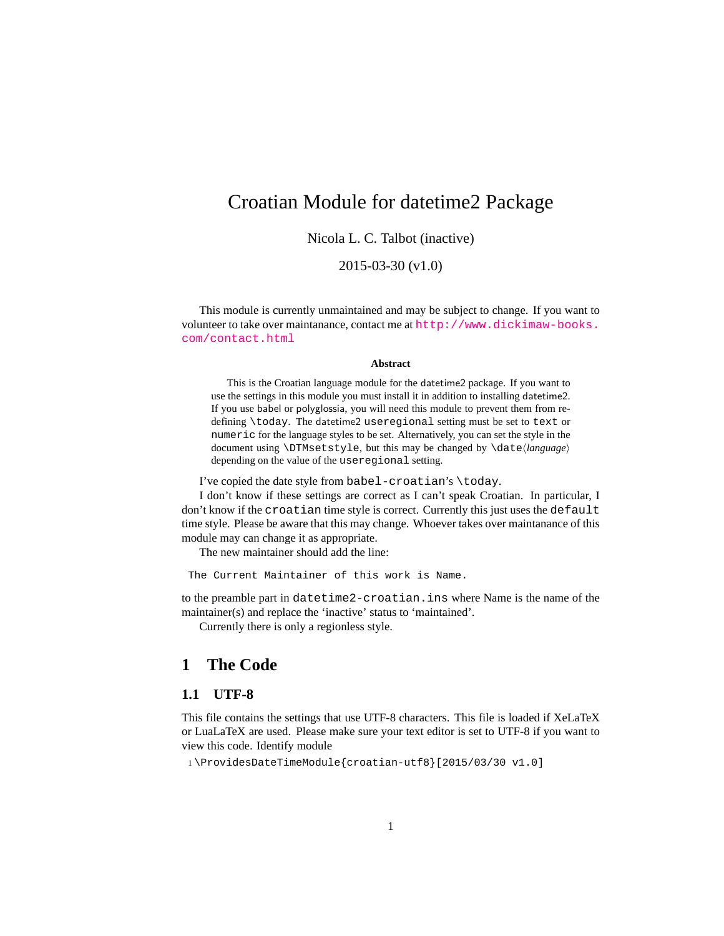## <span id="page-0-0"></span>Croatian Module for datetime2 Package

Nicola L. C. Talbot (inactive)

2015-03-30 (v1.0)

This module is currently unmaintained and may be subject to change. If you want to volunteer to take over maintanance, contact me at [http://www.dickimaw-books.](http://www.dickimaw-books.com/contact.html) [com/contact.html](http://www.dickimaw-books.com/contact.html)

#### **Abstract**

This is the Croatian language module for the datetime2 package. If you want to use the settings in this module you must install it in addition to installing datetime2. If you use babel or polyglossia, you will need this module to prevent them from redefining \today. The datetime2 useregional setting must be set to text or numeric for the language styles to be set. Alternatively, you can set the style in the document using \DTMsetstyle, but this may be changed by \date*⟨language⟩* depending on the value of the useregional setting.

I've copied the date style from babel-croatian's \today.

I don't know if these settings are correct as I can't speak Croatian. In particular, I don't know if the croatian time style is correct. Currently this just uses the default time style. Please be aware that this may change. Whoever takes over maintanance of this module may can change it as appropriate.

The new maintainer should add the line:

The Current Maintainer of this work is Name.

to the preamble part in datetime2-croatian.ins where Name is the name of the maintainer(s) and replace the 'inactive' status to 'maintained'.

Currently there is only a regionless style.

### **1 The Code**

#### **1.1 UTF-8**

This file contains the settings that use UTF-8 characters. This file is loaded if XeLaTeX or LuaLaTeX are used. Please make sure your text editor is set to UTF-8 if you want to view this code. Identify module

1 \ProvidesDateTimeModule{croatian-utf8}[2015/03/30 v1.0]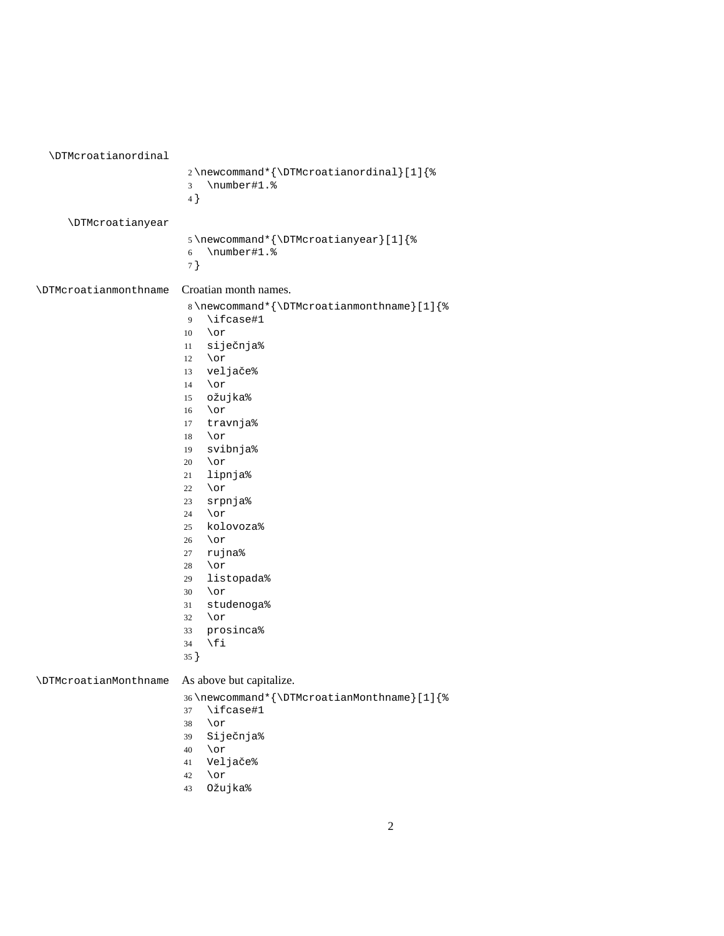<span id="page-1-0"></span>

| <b>\DTMcroatianordinal</b>   |                                                                                                                                                                                                                                                                                                                                                                                                                                                                                                            |
|------------------------------|------------------------------------------------------------------------------------------------------------------------------------------------------------------------------------------------------------------------------------------------------------------------------------------------------------------------------------------------------------------------------------------------------------------------------------------------------------------------------------------------------------|
|                              | 2\newcommand*{\DTMcroatianordinal}[1]{%<br>\number#1.%<br>3<br>$4$ }                                                                                                                                                                                                                                                                                                                                                                                                                                       |
| \DTMcroatianyear             | 5\newcommand*{\DTMcroatianyear}[1]{%<br>\number#1.%<br>6<br>7}                                                                                                                                                                                                                                                                                                                                                                                                                                             |
| <b>\DTMcroatianmonthname</b> | Croatian month names.<br>8\newcommand*{\DTMcroatianmonthname}[1]{%<br>\ifcase#1<br>9<br>$\lor$ or<br>10<br>siječnja%<br>11<br>\or<br>12<br>veljače%<br>13<br>$\lor$<br>14<br>ožujka%<br>15<br>\or<br>16<br>travnja%<br>17<br>\or<br>18<br>svibnja%<br>19<br>\or<br>20<br>lipnja%<br>21<br>\or<br>22<br>srpnja%<br>23<br>\or<br>24<br>kolovoza%<br>25<br>\or<br>26<br>rujna%<br>27<br>\or<br>28<br>listopada%<br>29<br>\or<br>30<br>studenoga%<br>31<br>\or<br>32<br>prosinca%<br>33<br>\fi<br>34<br>$35$ } |
| <b>\DTMcroatianMonthname</b> | As above but capitalize.<br>36\newcommand*{\DTMcroatianMonthname}[1]{%<br>\ifcase#1<br>37<br>\or<br>38<br>Siječnja%<br>39<br>\or<br>40                                                                                                                                                                                                                                                                                                                                                                     |

- Veljače%
- \or
- Ožujka%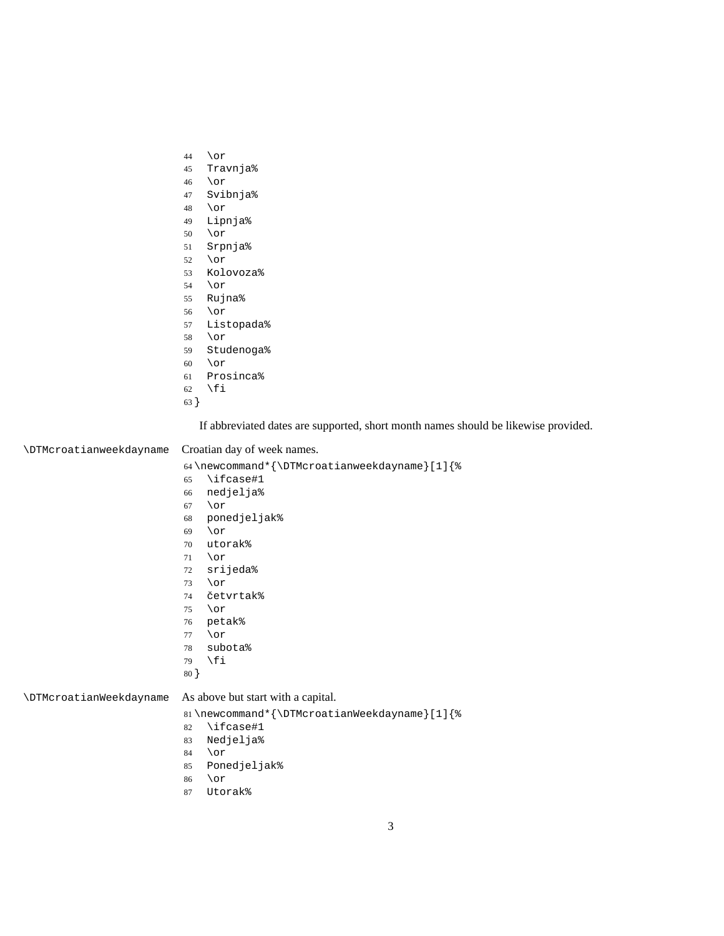- <span id="page-2-0"></span>\or
- Travnja%
- \or
- Svibnja%
- \or
- Lipnja%
- \or
- Srpnja%
- \or
- Kolovoza%
- \or
- Rujna%
- \or
- Listopada%
- \or
- Studenoga%
- \or
- Prosinca%
- 62  $\forall$ fi
- }

If abbreviated dates are supported, short month names should be likewise provided.

#### \DTMcroatianweekdayname Croatian day of week names.

\newcommand\*{\DTMcroatianweekdayname}[1]{%

- \ifcase#1
- nedjelja%
- \or
- ponedjeljak%
- \or
- utorak%
- \or
- srijeda%
- \or
- četvrtak%
- \or
- petak%
- \or
- subota%
- \fi
- }

#### \DTMcroatianWeekdayname As above but start with a capital.

\newcommand\*{\DTMcroatianWeekdayname}[1]{%

- \ifcase#1
- Nedjelja%
- \or
- Ponedjeljak%
- \or
- Utorak%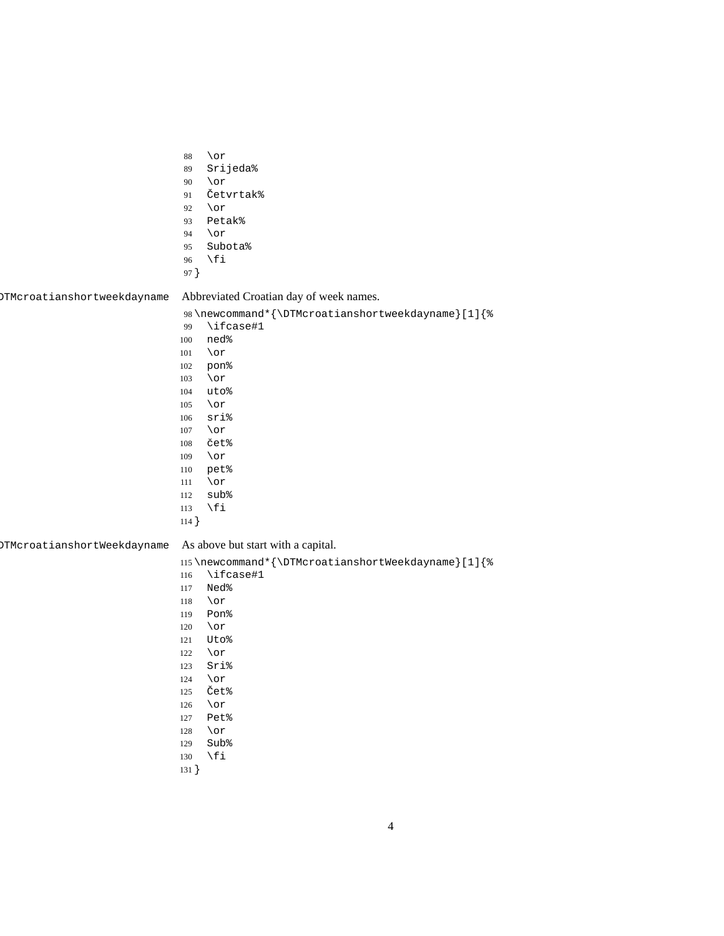<span id="page-3-0"></span>

|                             | $\lor$ or<br>88<br>Srijeda%<br>89<br>$\lor$ or<br>90<br>Četvrtak%<br>91<br>$\lor$ or<br>92<br>Petak%<br>93<br>$\lor$ or<br>94<br>Subota%<br>95<br>\fi<br>96<br>97 }                                                                                                                                                                                |
|-----------------------------|----------------------------------------------------------------------------------------------------------------------------------------------------------------------------------------------------------------------------------------------------------------------------------------------------------------------------------------------------|
| OTMcroatianshortweekdayname | Abbreviated Croatian day of week names.                                                                                                                                                                                                                                                                                                            |
|                             | 98\newcommand*{\DTMcroatianshortweekdayname}[1]{%<br>\ifcase#1<br>99<br>ned%<br>100<br>$\lor$ or<br>101<br>pon%<br>102<br>$\lor$ or<br>103<br>uto%<br>104<br>$\lor$ or<br>105<br>sri%<br>106<br>$\lor$ or<br>107<br>čet%<br>108<br>$\lor$ or<br>109<br>pet%<br>110<br>$\lor$ or<br>111<br>sub%<br>112<br>\fi<br>113<br>$114$ }                     |
| OTMcroatianshortWeekdayname | As above but start with a capital.<br>115\newcommand*{\DTMcroatianshortWeekdayname}[1]{%<br>\ifcase#1<br>116<br>Ned%<br>117<br>$\lor$ or<br>118<br>Pon%<br>119<br>$\lor$ or<br>120<br>Uto%<br>121<br>\or<br>122<br>Sri%<br>123<br>\or<br>124<br>Čet%<br>125<br>$\lor$ or<br>126<br>Pet%<br>127<br>\or<br>128<br>Sub%<br>129<br>\fi<br>130<br>131 } |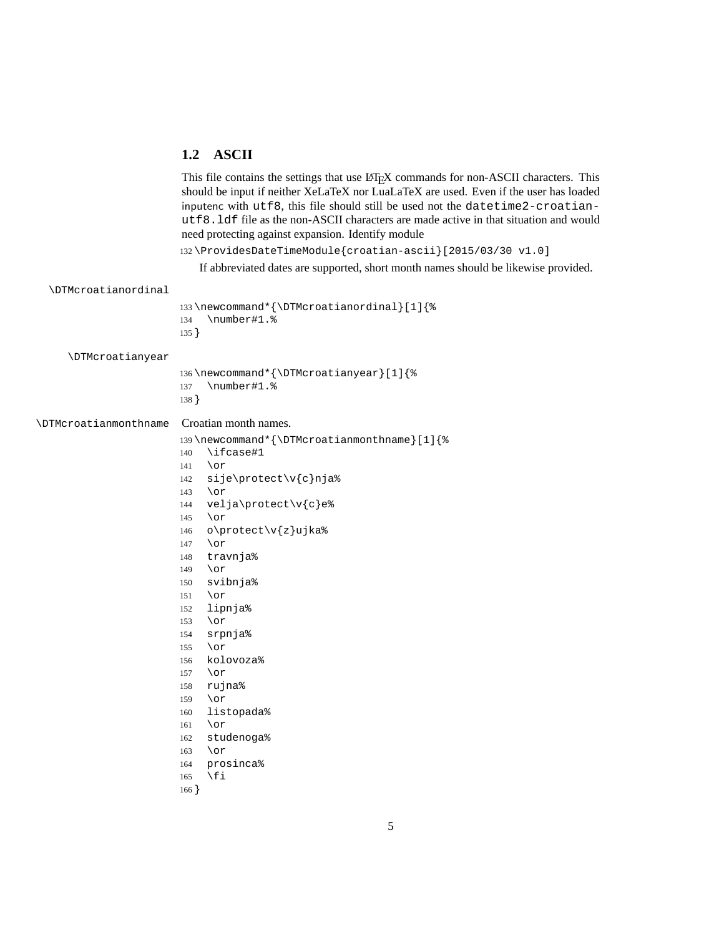#### <span id="page-4-0"></span>**1.2 ASCII**

This file contains the settings that use  $ETr[X]$  commands for non-ASCII characters. This should be input if neither XeLaTeX nor LuaLaTeX are used. Even if the user has loaded inputenc with utf8, this file should still be used not the datetime2-croatianutf8.ldf file as the non-ASCII characters are made active in that situation and would need protecting against expansion. Identify module

\ProvidesDateTimeModule{croatian-ascii}[2015/03/30 v1.0]

If abbreviated dates are supported, short month names should be likewise provided.

```
\DTMcroatianordinal
                       133 \newcommand*{\DTMcroatianordinal}[1]{%
                       134 \number#1.%
                       135 }
     \DTMcroatianyear
                       136 \newcommand*{\DTMcroatianyear}[1]{%
                       137 \number#1.%
                       138 }
\DTMcroatianmonthname Croatian month names.
                       139 \newcommand*{\DTMcroatianmonthname}[1]{%
                       140 \ifcase#1
                       141 \or
                       142 sije\protect\v{c}nja%
                       143 \or
                       144 velja\protect\v{c}e%
                       145 \or
                       146 o\protect\v{z}ujka%
                       147 \or
                       148 travnja%
                       149 \or
                       150 svibnja%
                       151 \or
                       152 lipnja%
                       153 \or
                       154 srpnja%
                       155 \or
                       156 kolovoza%
                       157 \or
                       158 rujna%
                       159 \or
                       160 listopada%
                       161 \or
                       162 studenoga%
                       163 \or
                       164 prosinca%
                       165 \fi
                       166 }
```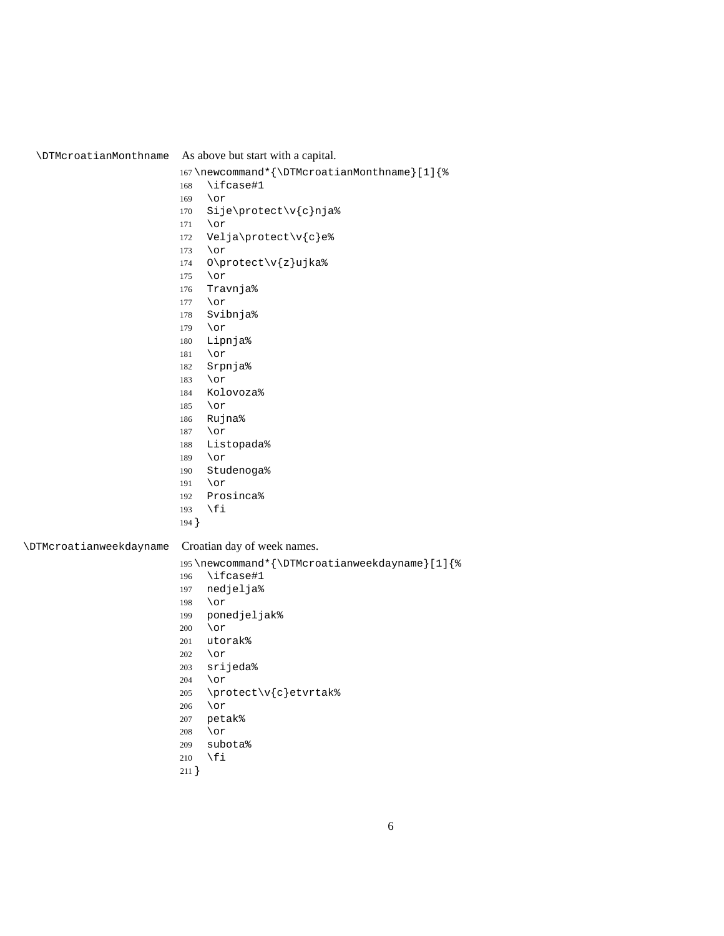<span id="page-5-0"></span>\DTMcroatianMonthname As above but start with a capital. \newcommand\*{\DTMcroatianMonthname}[1]{% \ifcase#1 \or Sije\protect\v{c}nja% \or Velja\protect\v{c}e% \or O\protect\v{z}ujka% \or Travnja% \or Svibnja% \or Lipnja% \or Srpnja% \or Kolovoza% \or Rujna% \or Listopada% \or Studenoga% \or Prosinca% \fi } \DTMcroatianweekdayname Croatian day of week names. \newcommand\*{\DTMcroatianweekdayname}[1]{% \ifcase#1 nedjelja% \or ponedjeljak% \or utorak% \or srijeda% \or \protect\v{c}etvrtak% \or petak% \or subota% \fi }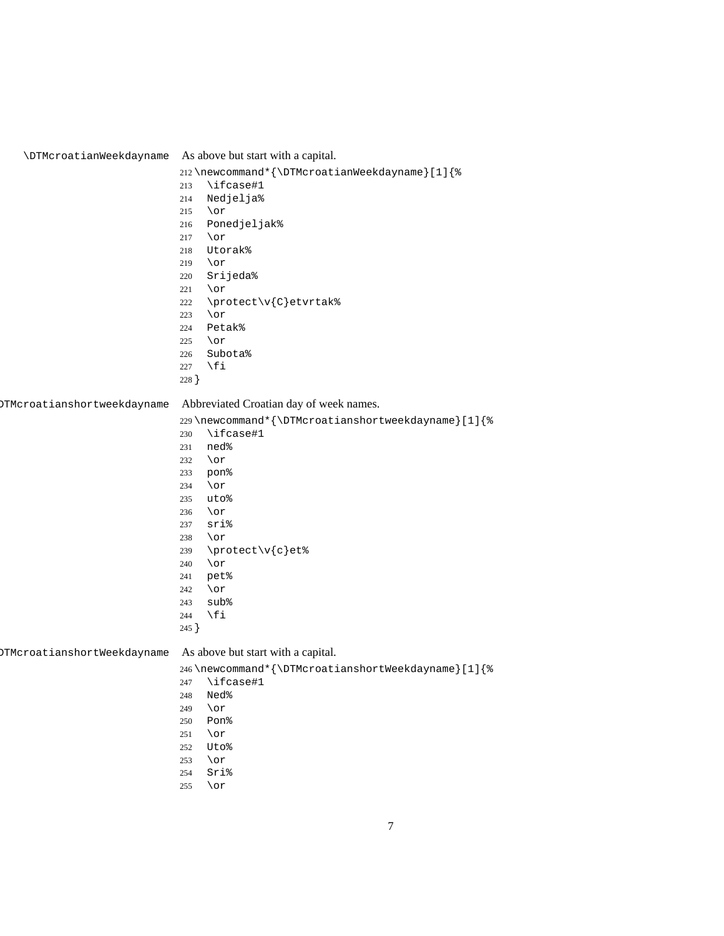<span id="page-6-0"></span>

| <b>\DTMcroatianWeekdayname</b>     | As above but start with a capital.                 |  |
|------------------------------------|----------------------------------------------------|--|
|                                    | 212\newcommand*{\DTMcroatianWeekdayname}[1]{%      |  |
|                                    | \ifcase#1<br>213                                   |  |
|                                    | Nedjelja%<br>214                                   |  |
|                                    | \or<br>215                                         |  |
|                                    | Ponedjeljak%<br>216                                |  |
|                                    | $\lor$ or<br>217                                   |  |
|                                    | Utorak%<br>218                                     |  |
|                                    | \or<br>219                                         |  |
|                                    | Srijeda%<br>220                                    |  |
|                                    | \or<br>221                                         |  |
|                                    | \protect\v{C}etvrtak%<br>222                       |  |
|                                    | \or<br>223                                         |  |
|                                    | Petak%<br>224                                      |  |
|                                    | \or<br>225                                         |  |
|                                    | Subota%<br>226                                     |  |
|                                    | \fi<br>227                                         |  |
|                                    | 228 }                                              |  |
| <b>DTMcroatianshortweekdayname</b> | Abbreviated Croatian day of week names.            |  |
|                                    | 229\newcommand*{\DTMcroatianshortweekdayname}[1]{% |  |
|                                    | \ifcase#1<br>230                                   |  |
|                                    | ned%<br>231                                        |  |
|                                    | $\lor$ or<br>232                                   |  |
|                                    | pon%<br>233                                        |  |
|                                    | $\lor$ or<br>234                                   |  |
|                                    | uto%<br>235                                        |  |
|                                    | $\lor$ or<br>236                                   |  |
|                                    | sri%<br>237                                        |  |
|                                    | $\lor$ or<br>238                                   |  |
|                                    | \protect\v{c}et%<br>239                            |  |
|                                    | $\lor$ or<br>240                                   |  |
|                                    | pet%<br>241                                        |  |
|                                    | $\lor$ or<br>242                                   |  |
|                                    | sub%<br>243                                        |  |
|                                    | \fi<br>244                                         |  |
|                                    | 245 }                                              |  |
|                                    |                                                    |  |
| <b>DTMcroatianshortWeekdayname</b> | As above but start with a capital.                 |  |
|                                    | 246\newcommand*{\DTMcroatianshortWeekdayname}[1]{% |  |
|                                    | \ifcase#1<br>247                                   |  |
|                                    | Ned%<br>248                                        |  |
|                                    | \or<br>249                                         |  |
|                                    | Pon%<br>250                                        |  |
|                                    | $\lor$ or<br>251                                   |  |
|                                    | Uto%<br>252                                        |  |
|                                    | $\lor$ or<br>253                                   |  |
|                                    | Sri%<br>254                                        |  |
|                                    | $\lor$ or<br>255                                   |  |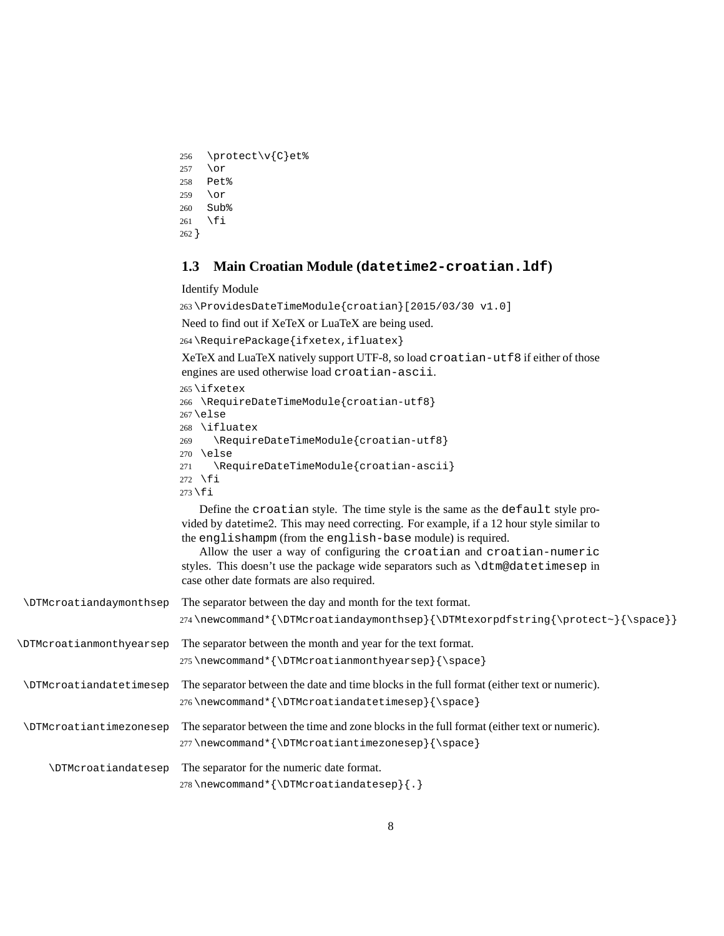```
256 \protect\v{C}et%
257 \or
258 Pet%
259 \or
260 Sub%
261 \fi
262 }
```
#### **1.3 Main Croatian Module (datetime2-croatian.ldf)**

Identify Module

263 \ProvidesDateTimeModule{croatian}[2015/03/30 v1.0]

Need to find out if XeTeX or LuaTeX are being used.

264 \RequirePackage{ifxetex,ifluatex}

XeTeX and LuaTeX natively support UTF-8, so load croatian-utf8 if either of those engines are used otherwise load croatian-ascii.

265 \ifxetex 266 \RequireDateTimeModule{croatian-utf8} 267 \else 268 \ifluatex 269 \RequireDateTimeModule{croatian-utf8} 270 \else 271 \RequireDateTimeModule{croatian-ascii} 272 \fi 273 \fi

Define the croatian style. The time style is the same as the default style provided by datetime2. This may need correcting. For example, if a 12 hour style similar to the englishampm (from the english-base module) is required.

Allow the user a way of configuring the croatian and croatian-numeric styles. This doesn't use the package wide separators such as \dtm@datetimesep in case other date formats are also required.

| <b>\DTMcroatiandaymonthsep</b>  | The separator between the day and month for the text format.<br>274\newcommand*{\DTMcroatiandaymonthsep}{\DTMtexorpdfstring{\protect~}{\space}} |
|---------------------------------|-------------------------------------------------------------------------------------------------------------------------------------------------|
| <b>\DTMcroatianmonthyearsep</b> | The separator between the month and year for the text format.<br>275\newcommand*{\DTMcroatianmonthyearsep}{\space}                              |
| <b>\DTMcroatiandatetimesep</b>  | The separator between the date and time blocks in the full format (either text or numeric).<br>276\newcommand*{\DTMcroatiandatetimesep}{\space} |
| <b>\DTMcroatiantimezonesep</b>  | The separator between the time and zone blocks in the full format (either text or numeric).<br>277\newcommand*{\DTMcroatiantimezonesep}{\space} |
| \DTMcroatiandatesep             | The separator for the numeric date format.<br>278\newcommand*{\DTMcroatiandatesep}{.}                                                           |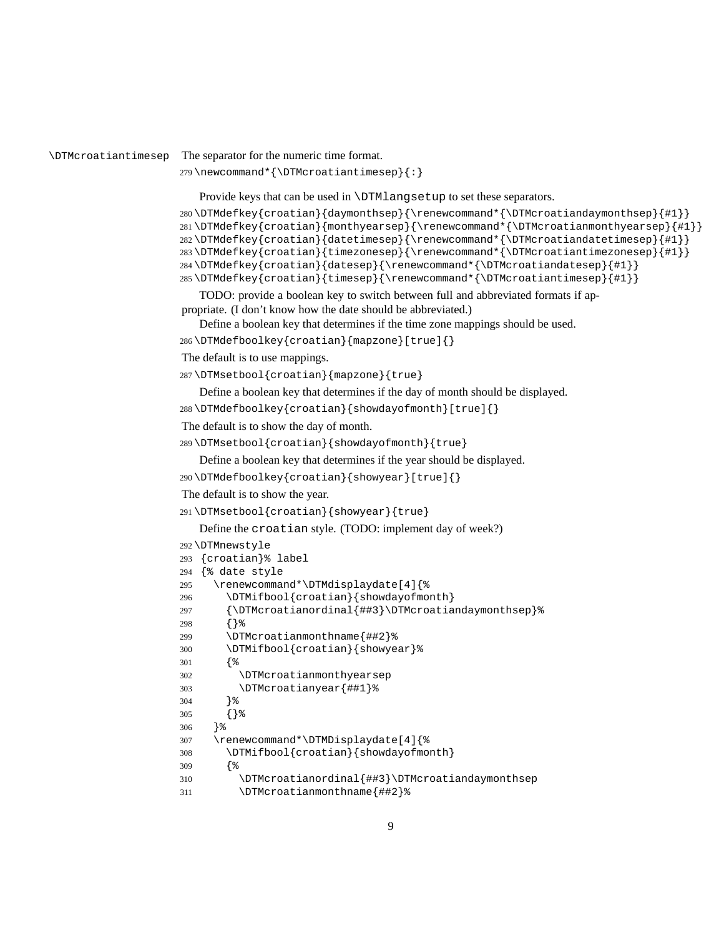\DTMcroatiantimesep The separator for the numeric time format.

```
279 \newcommand*{\DTMcroatiantimesep}{:}
```
Provide keys that can be used in \DTMlangsetup to set these separators.

```
280 \DTMdefkey{croatian}{daymonthsep}{\renewcommand*{\DTMcroatiandaymonthsep}{#1}}
281 \DTMdefkey{croatian}{monthyearsep}{\renewcommand*{\DTMcroatianmonthyearsep}{#1}}
282 \DTMdefkey{croatian}{datetimesep}{\renewcommand*{\DTMcroatiandatetimesep}{#1}}
283 \DTMdefkey{croatian}{timezonesep}{\renewcommand*{\DTMcroatiantimezonesep}{#1}}
284 \DTMdefkey{croatian}{datesep}{\renewcommand*{\DTMcroatiandatesep}{#1}}
285 \DTMdefkey{croatian}{timesep}{\renewcommand*{\DTMcroatiantimesep}{#1}}
```
TODO: provide a boolean key to switch between full and abbreviated formats if appropriate. (I don't know how the date should be abbreviated.)

Define a boolean key that determines if the time zone mappings should be used.

```
286 \DTMdefboolkey{croatian}{mapzone}[true]{}
```
The default is to use mappings.

\DTMsetbool{croatian}{mapzone}{true}

Define a boolean key that determines if the day of month should be displayed.

\DTMdefboolkey{croatian}{showdayofmonth}[true]{}

The default is to show the day of month.

\DTMsetbool{croatian}{showdayofmonth}{true}

Define a boolean key that determines if the year should be displayed.

```
290 \DTMdefboolkey{croatian}{showyear}[true]{}
```
The default is to show the year.

```
291 \DTMsetbool{croatian}{showyear}{true}
```

```
Define the croatian style. (TODO: implement day of week?)
292 \DTMnewstyle
293 {croatian}% label
294 {% date style
295 \renewcommand*\DTMdisplaydate[4]{%
296 \DTMifbool{croatian}{showdayofmonth}
297 {\DTMcroatianordinal{##3}\DTMcroatiandaymonthsep}%
298 {}%
299 \DTMcroatianmonthname{##2}%
300 \DTMifbool{croatian}{showyear}%
301 {%
302 \DTMcroatianmonthyearsep
303 \DTMcroatianyear{##1}%
304 }%
305 {}%
306 }%
307 \renewcommand*\DTMDisplaydate[4]{%
308 \DTMifbool{croatian}{showdayofmonth}
309 {%
310 \DTMcroatianordinal{##3}\DTMcroatiandaymonthsep
311 \DTMcroatianmonthname{##2}%
```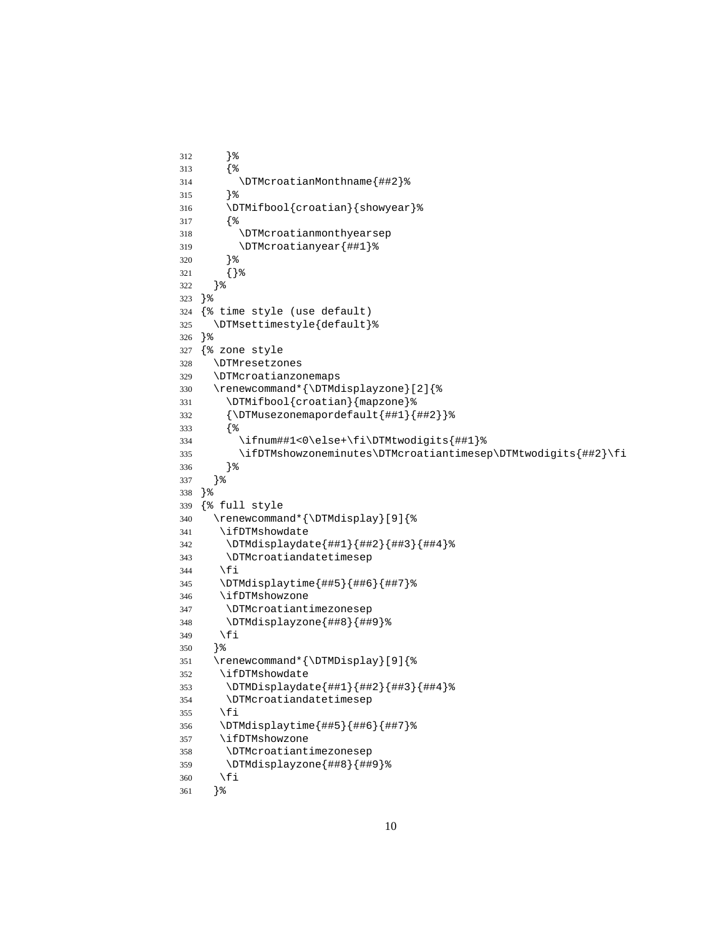```
312 }%
313 {%
314 \DTMcroatianMonthname{##2}%
315 }%
316 \DTMifbool{croatian}{showyear}%
317 {%
318 \DTMcroatianmonthyearsep
319 \DTMcroatianyear{##1}%
320 }%
321 {}%
322 }%
323 }%
324 {% time style (use default)
325 \DTMsettimestyle{default}%
326 }%
327 {% zone style
328 \DTMresetzones
329 \DTMcroatianzonemaps
330 \renewcommand*{\DTMdisplayzone}[2]{%
331 \DTMifbool{croatian}{mapzone}%
332 {\DTMusezonemapordefault{##1}{##2}}%
333 {%
334 \ifnum##1<0\else+\fi\DTMtwodigits{##1}%
335 \ifDTMshowzoneminutes\DTMcroatiantimesep\DTMtwodigits{##2}\fi
336 }%
337 }%
338 }%
339 {% full style
340 \renewcommand*{\DTMdisplay}[9]{%
341 \ifDTMshowdate
342 \DTMdisplaydate{##1}{##2}{##3}{##4}%
343 \DTMcroatiandatetimesep
344 \fi
345 \DTMdisplaytime{##5}{##6}{##7}%
346 \ifDTMshowzone
347 \DTMcroatiantimezonesep
348 \DTMdisplayzone{##8}{##9}%
349 \fi
350 }%
351 \renewcommand*{\DTMDisplay}[9]{%
352 \ifDTMshowdate
353 \DTMDisplaydate{##1}{##2}{##3}{##4}%
354 \DTMcroatiandatetimesep
355 \fi
356 \DTMdisplaytime{##5}{##6}{##7}%
357 \ifDTMshowzone
358 \DTMcroatiantimezonesep
359 \DTMdisplayzone{##8}{##9}%
360 \fi
361 }%
```

```
10
```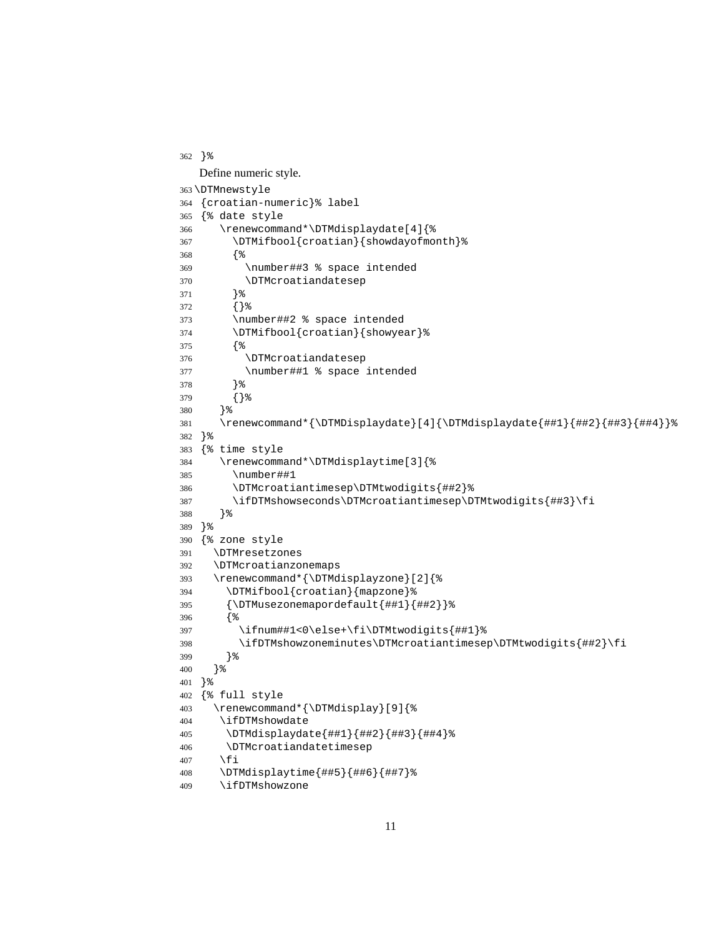```
362 }%
  Define numeric style.
363 \DTMnewstyle
364 {croatian-numeric}% label
365 {% date style
366 \renewcommand*\DTMdisplaydate[4]{%
367 \DTMifbool{croatian}{showdayofmonth}%
368 {%
369 \number##3 % space intended
370 \DTMcroatiandatesep
371 }%
372 {}%
373 \number##2 % space intended
374 \DTMifbool{croatian}{showyear}%
375 {%
376 \DTMcroatiandatesep
377 \number##1 % space intended
378 }%
379 {}%
380 }%
381 \renewcommand*{\DTMDisplaydate}[4]{\DTMdisplaydate{##1}{##2}{##3}{##4}}%
382 }%
383 {% time style
384 \renewcommand*\DTMdisplaytime[3]{%
385 \number##1
386 \DTMcroatiantimesep\DTMtwodigits{##2}%
387 \ifDTMshowseconds\DTMcroatiantimesep\DTMtwodigits{##3}\fi
388 }%
389 }%
390 {% zone style
391 \DTMresetzones
392 \DTMcroatianzonemaps
393 \renewcommand*{\DTMdisplayzone}[2]{%
394 \DTMifbool{croatian}{mapzone}%
395 {\DTMusezonemapordefault{##1}{##2}}%
396 {%
397 \ifnum##1<0\else+\fi\DTMtwodigits{##1}%
398 \ifDTMshowzoneminutes\DTMcroatiantimesep\DTMtwodigits{##2}\fi
399 }%
400 }%
401 }%
402 {% full style
403 \renewcommand*{\DTMdisplay}[9]{%
404 \ifDTMshowdate
405 \DTMdisplaydate{##1}{##2}{##3}{##4}%
406 \DTMcroatiandatetimesep
407 \fi
408 \DTMdisplaytime{##5}{##6}{##7}%
409 \ifDTMshowzone
```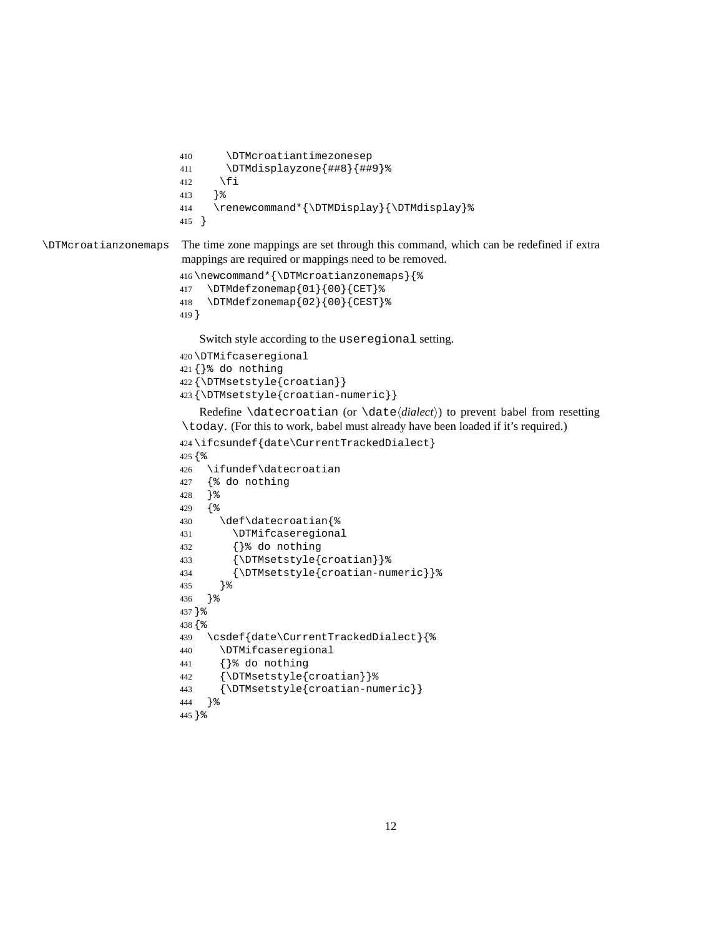```
410 \DTMcroatiantimezonesep
411 \DTMdisplayzone{##8}{##9}%
412 \fi
413 }%
414 \renewcommand*{\DTMDisplay}{\DTMdisplay}%
415 }
```
\DTMcroatianzonemaps The time zone mappings are set through this command, which can be redefined if extra mappings are required or mappings need to be removed.

```
416 \newcommand*{\DTMcroatianzonemaps}{%
417 \DTMdefzonemap{01}{00}{CET}%
418 \DTMdefzonemap{02}{00}{CEST}%
419 }
```
Switch style according to the useregional setting.

```
420 \DTMifcaseregional
421 {}% do nothing
422 {\DTMsetstyle{croatian}}
423 {\DTMsetstyle{croatian-numeric}}
```
Redefine \datecroatian (or \date*⟨dialect⟩*) to prevent babel from resetting \today. (For this to work, babel must already have been loaded if it's required.)

```
424 \ifcsundef{date\CurrentTrackedDialect}
425 {%
426 \ifundef\datecroatian
427 {% do nothing
428 }%
429 {%
430 \def\datecroatian{%
431 \DTMifcaseregional
432 {}% do nothing
433 {\DTMsetstyle{croatian}}%
434 {\DTMsetstyle{croatian-numeric}}%
435 }%
436 }%
437 }%
438 {%
439 \csdef{date\CurrentTrackedDialect}{%
440 \DTMifcaseregional
441 {}% do nothing
442 {\DTMsetstyle{croatian}}%
443 {\DTMsetstyle{croatian-numeric}}
444 }%
445 }%
```